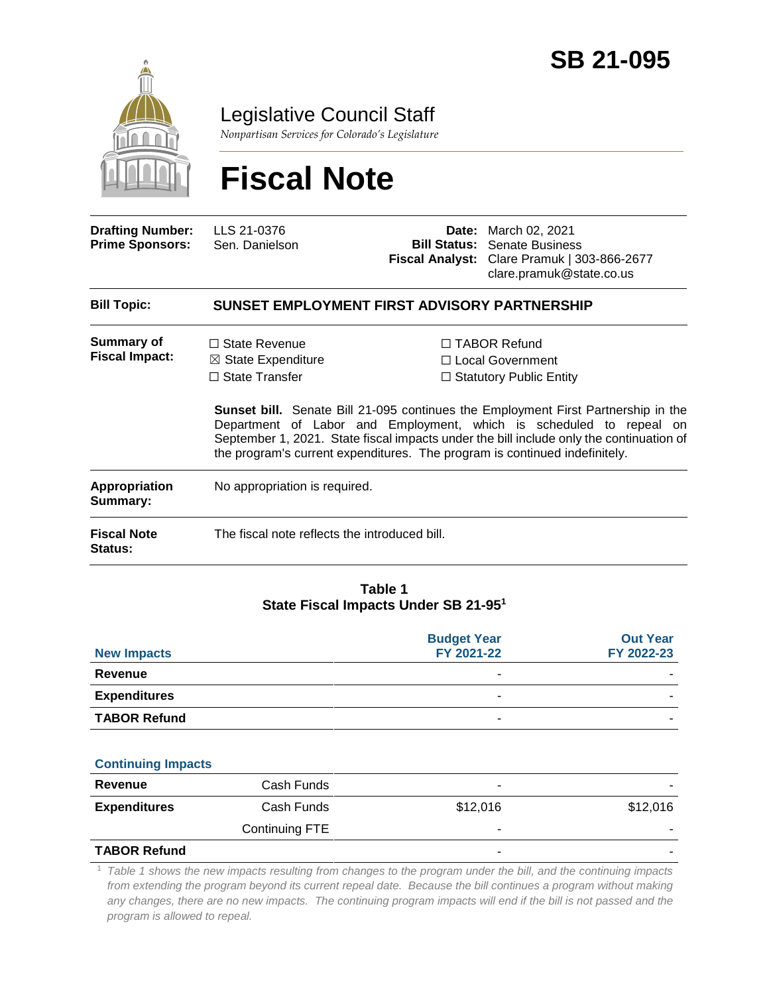

Legislative Council Staff

*Nonpartisan Services for Colorado's Legislature*

# **Fiscal Note**

| <b>Drafting Number:</b><br><b>Prime Sponsors:</b> | LLS 21-0376<br>Sen. Danielson                                                  | Date:<br><b>Bill Status:</b><br>Fiscal Analyst: | March 02, 2021<br><b>Senate Business</b><br>Clare Pramuk   303-866-2677<br>clare.pramuk@state.co.us                                                                                                                                                                                                                                                                                                                          |  |  |
|---------------------------------------------------|--------------------------------------------------------------------------------|-------------------------------------------------|------------------------------------------------------------------------------------------------------------------------------------------------------------------------------------------------------------------------------------------------------------------------------------------------------------------------------------------------------------------------------------------------------------------------------|--|--|
| <b>Bill Topic:</b>                                | SUNSET EMPLOYMENT FIRST ADVISORY PARTNERSHIP                                   |                                                 |                                                                                                                                                                                                                                                                                                                                                                                                                              |  |  |
| <b>Summary of</b><br><b>Fiscal Impact:</b>        | $\Box$ State Revenue<br>$\boxtimes$ State Expenditure<br>$\Box$ State Transfer |                                                 | $\Box$ TABOR Refund<br>$\Box$ Local Government<br>$\Box$ Statutory Public Entity<br><b>Sunset bill.</b> Senate Bill 21-095 continues the Employment First Partnership in the<br>Department of Labor and Employment, which is scheduled to repeal on<br>September 1, 2021. State fiscal impacts under the bill include only the continuation of<br>the program's current expenditures. The program is continued indefinitely. |  |  |
| Appropriation<br>Summary:                         | No appropriation is required.                                                  |                                                 |                                                                                                                                                                                                                                                                                                                                                                                                                              |  |  |
| <b>Fiscal Note</b><br><b>Status:</b>              | The fiscal note reflects the introduced bill.                                  |                                                 |                                                                                                                                                                                                                                                                                                                                                                                                                              |  |  |

#### **Table 1 State Fiscal Impacts Under SB 21-95<sup>1</sup>**

| <b>New Impacts</b>  | <b>Budget Year</b><br>FY 2021-22 | <b>Out Year</b><br>FY 2022-23 |
|---------------------|----------------------------------|-------------------------------|
| Revenue             |                                  |                               |
| <b>Expenditures</b> |                                  |                               |
| <b>TABOR Refund</b> | ۰                                |                               |

| <b>Continuing Impacts</b> |                |                          |          |
|---------------------------|----------------|--------------------------|----------|
| Revenue                   | Cash Funds     | $\overline{\phantom{a}}$ |          |
| <b>Expenditures</b>       | Cash Funds     | \$12,016                 | \$12,016 |
|                           | Continuing FTE | -                        |          |

#### **TABOR Refund** - -

<sup>1</sup> *Table 1 shows the new impacts resulting from changes to the program under the bill, and the continuing impacts from extending the program beyond its current repeal date. Because the bill continues a program without making* any changes, there are no new impacts. The continuing program impacts will end if the bill is not passed and the *program is allowed to repeal.*